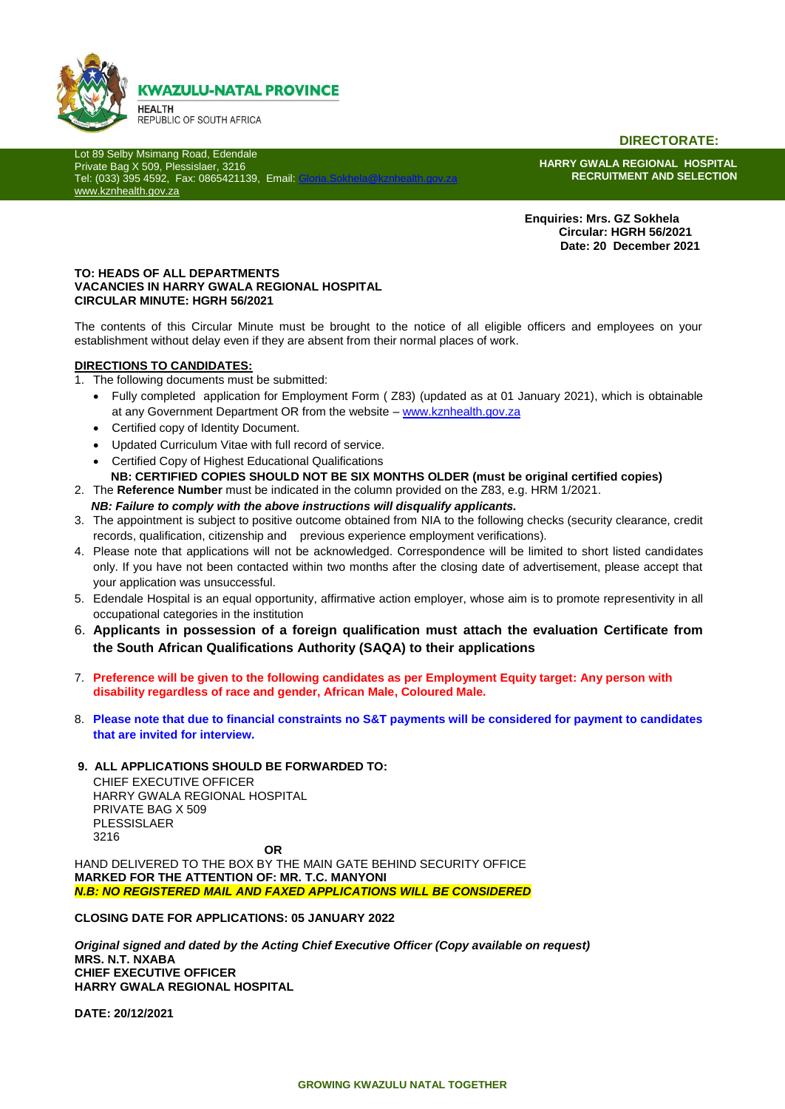

**DIRECTORATE:**

Lot 89 Selby Msimang Road, Edendale Private Bag X 509, Plessislaer, 3216 Tel: (033) 395 4592, Fax: 0865421139, Email: [www.kznhealth.gov.za](http://www.kznhealth.gov.za/)

**HARRY GWALA REGIONAL HOSPITAL RECRUITMENT AND SELECTION**

 **Enquiries: Mrs. GZ Sokhela Circular: HGRH 56/2021 Date: 20 December 2021**

#### **TO: HEADS OF ALL DEPARTMENTS VACANCIES IN HARRY GWALA REGIONAL HOSPITAL CIRCULAR MINUTE: HGRH 56/2021**

The contents of this Circular Minute must be brought to the notice of all eligible officers and employees on your establishment without delay even if they are absent from their normal places of work.

#### **DIRECTIONS TO CANDIDATES:**

- 1. The following documents must be submitted:
	- Fully completed application for Employment Form ( Z83) (updated as at 01 January 2021), which is obtainable at any Government Department OR from the website – [www.kznhealth.gov.za](http://www.kznhealth.gov.za/)
	- Certified copy of Identity Document.
	- Updated Curriculum Vitae with full record of service.
	- Certified Copy of Highest Educational Qualifications
	- **NB: CERTIFIED COPIES SHOULD NOT BE SIX MONTHS OLDER (must be original certified copies)**
- 2. The **Reference Number** must be indicated in the column provided on the Z83, e.g. HRM 1/2021.
	- *NB: Failure to comply with the above instructions will disqualify applicants.*
- 3. The appointment is subject to positive outcome obtained from NIA to the following checks (security clearance, credit records, qualification, citizenship and previous experience employment verifications).
- 4. Please note that applications will not be acknowledged. Correspondence will be limited to short listed candidates only. If you have not been contacted within two months after the closing date of advertisement, please accept that your application was unsuccessful.
- 5. Edendale Hospital is an equal opportunity, affirmative action employer, whose aim is to promote representivity in all occupational categories in the institution
- 6. **Applicants in possession of a foreign qualification must attach the evaluation Certificate from the South African Qualifications Authority (SAQA) to their applications**
- 7. **Preference will be given to the following candidates as per Employment Equity target: Any person with disability regardless of race and gender, African Male, Coloured Male.**
- 8. **Please note that due to financial constraints no S&T payments will be considered for payment to candidates that are invited for interview.**
- **9. ALL APPLICATIONS SHOULD BE FORWARDED TO:**

CHIEF EXECUTIVE OFFICER HARRY GWALA REGIONAL HOSPITAL PRIVATE BAG X 509 PLESSISLAER 3216

**OR**

HAND DELIVERED TO THE BOX BY THE MAIN GATE BEHIND SECURITY OFFICE **MARKED FOR THE ATTENTION OF: MR. T.C. MANYONI** *N.B: NO REGISTERED MAIL AND FAXED APPLICATIONS WILL BE CONSIDERED*

**CLOSING DATE FOR APPLICATIONS: 05 JANUARY 2022**

*Original signed and dated by the Acting Chief Executive Officer (Copy available on request)* **MRS. N.T. NXABA CHIEF EXECUTIVE OFFICER HARRY GWALA REGIONAL HOSPITAL**

**DATE: 20/12/2021**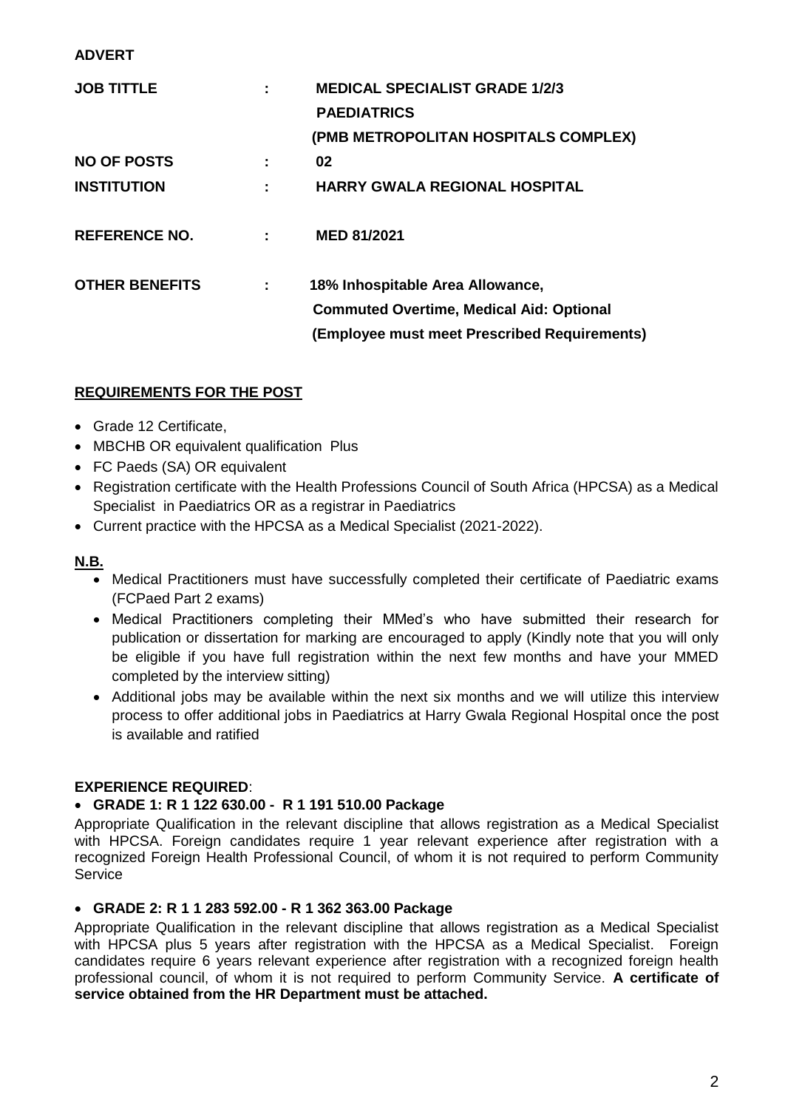## **ADVERT**

| <b>MEDICAL SPECIALIST GRADE 1/2/3</b>           |
|-------------------------------------------------|
|                                                 |
| (PMB METROPOLITAN HOSPITALS COMPLEX)            |
|                                                 |
| <b>HARRY GWALA REGIONAL HOSPITAL</b>            |
|                                                 |
|                                                 |
| <b>Commuted Overtime, Medical Aid: Optional</b> |
| (Employee must meet Prescribed Requirements)    |
|                                                 |

# **REQUIREMENTS FOR THE POST**

- Grade 12 Certificate,
- MBCHB OR equivalent qualification Plus
- FC Paeds (SA) OR equivalent
- Registration certificate with the Health Professions Council of South Africa (HPCSA) as a Medical Specialist in Paediatrics OR as a registrar in Paediatrics
- Current practice with the HPCSA as a Medical Specialist (2021-2022).

## **N.B.**

- Medical Practitioners must have successfully completed their certificate of Paediatric exams (FCPaed Part 2 exams)
- Medical Practitioners completing their MMed's who have submitted their research for publication or dissertation for marking are encouraged to apply (Kindly note that you will only be eligible if you have full registration within the next few months and have your MMED completed by the interview sitting)
- Additional jobs may be available within the next six months and we will utilize this interview process to offer additional jobs in Paediatrics at Harry Gwala Regional Hospital once the post is available and ratified

## **EXPERIENCE REQUIRED**:

## **GRADE 1: R 1 122 630.00 - R 1 191 510.00 Package**

Appropriate Qualification in the relevant discipline that allows registration as a Medical Specialist with HPCSA. Foreign candidates require 1 year relevant experience after registration with a recognized Foreign Health Professional Council, of whom it is not required to perform Community **Service** 

## **GRADE 2: R 1 1 283 592.00 - R 1 362 363.00 Package**

Appropriate Qualification in the relevant discipline that allows registration as a Medical Specialist with HPCSA plus 5 years after registration with the HPCSA as a Medical Specialist. Foreign candidates require 6 years relevant experience after registration with a recognized foreign health professional council, of whom it is not required to perform Community Service. **A certificate of service obtained from the HR Department must be attached.**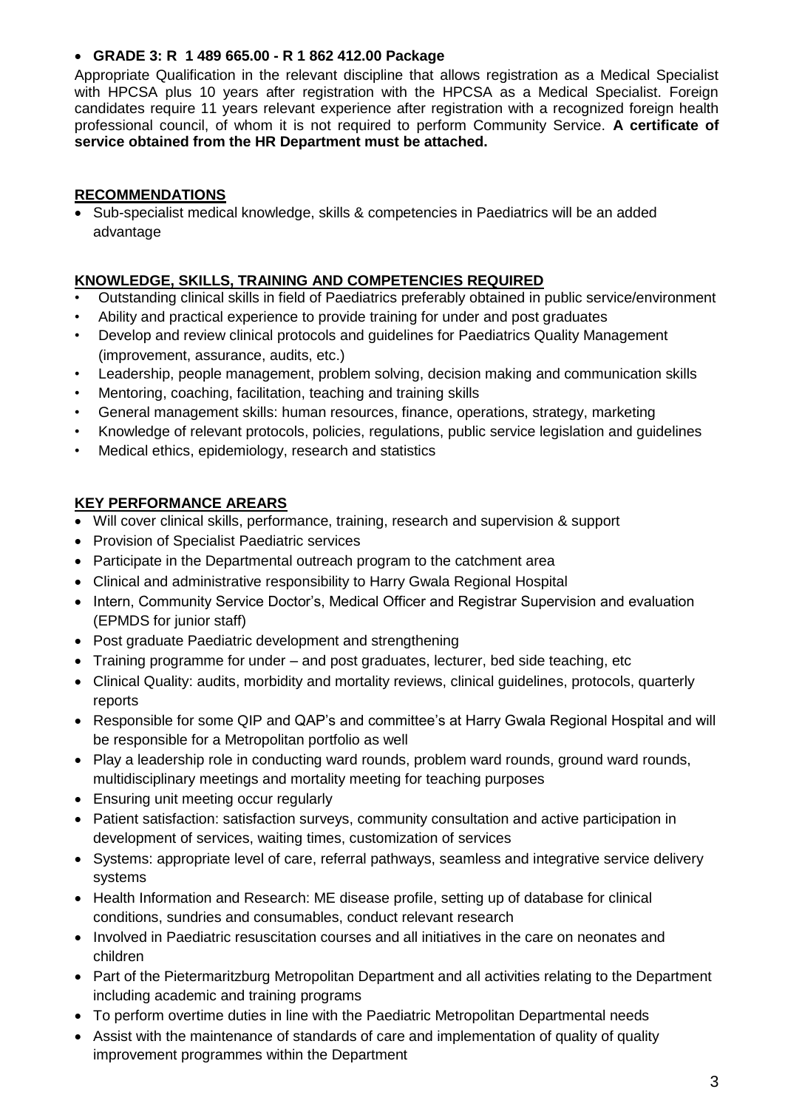## **GRADE 3: R 1 489 665.00 - R 1 862 412.00 Package**

Appropriate Qualification in the relevant discipline that allows registration as a Medical Specialist with HPCSA plus 10 years after registration with the HPCSA as a Medical Specialist. Foreign candidates require 11 years relevant experience after registration with a recognized foreign health professional council, of whom it is not required to perform Community Service. **A certificate of service obtained from the HR Department must be attached.**

## **RECOMMENDATIONS**

• Sub-specialist medical knowledge, skills & competencies in Paediatrics will be an added advantage

# **KNOWLEDGE, SKILLS, TRAINING AND COMPETENCIES REQUIRED**

- Outstanding clinical skills in field of Paediatrics preferably obtained in public service/environment
- Ability and practical experience to provide training for under and post graduates
- Develop and review clinical protocols and guidelines for Paediatrics Quality Management (improvement, assurance, audits, etc.)
- Leadership, people management, problem solving, decision making and communication skills
- Mentoring, coaching, facilitation, teaching and training skills
- General management skills: human resources, finance, operations, strategy, marketing
- Knowledge of relevant protocols, policies, regulations, public service legislation and guidelines
- Medical ethics, epidemiology, research and statistics

# **KEY PERFORMANCE AREARS**

- Will cover clinical skills, performance, training, research and supervision & support
- Provision of Specialist Paediatric services
- Participate in the Departmental outreach program to the catchment area
- Clinical and administrative responsibility to Harry Gwala Regional Hospital
- Intern, Community Service Doctor's, Medical Officer and Registrar Supervision and evaluation (EPMDS for junior staff)
- Post graduate Paediatric development and strengthening
- Training programme for under and post graduates, lecturer, bed side teaching, etc
- Clinical Quality: audits, morbidity and mortality reviews, clinical guidelines, protocols, quarterly reports
- Responsible for some QIP and QAP's and committee's at Harry Gwala Regional Hospital and will be responsible for a Metropolitan portfolio as well
- Play a leadership role in conducting ward rounds, problem ward rounds, ground ward rounds, multidisciplinary meetings and mortality meeting for teaching purposes
- Ensuring unit meeting occur regularly
- Patient satisfaction: satisfaction surveys, community consultation and active participation in development of services, waiting times, customization of services
- Systems: appropriate level of care, referral pathways, seamless and integrative service delivery systems
- Health Information and Research: ME disease profile, setting up of database for clinical conditions, sundries and consumables, conduct relevant research
- Involved in Paediatric resuscitation courses and all initiatives in the care on neonates and children
- Part of the Pietermaritzburg Metropolitan Department and all activities relating to the Department including academic and training programs
- To perform overtime duties in line with the Paediatric Metropolitan Departmental needs
- Assist with the maintenance of standards of care and implementation of quality of quality improvement programmes within the Department